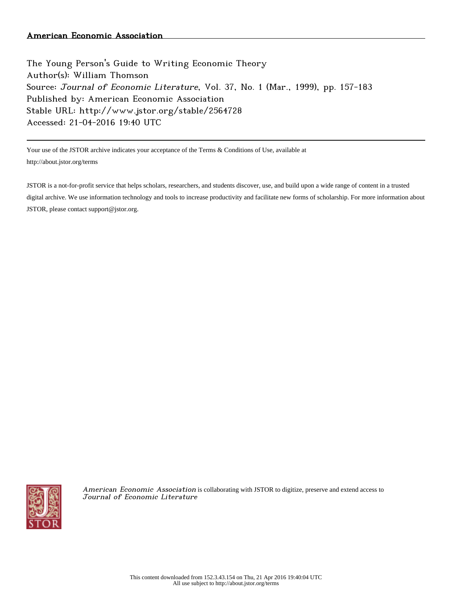The Young Person's Guide to Writing Economic Theory Author(s): William Thomson Source: Journal of Economic Literature, Vol. 37, No. 1 (Mar., 1999), pp. 157-183 Published by: American Economic Association Stable URL: http://www.jstor.org/stable/2564728 Accessed: 21-04-2016 19:40 UTC

Your use of the JSTOR archive indicates your acceptance of the Terms & Conditions of Use, available at http://about.jstor.org/terms

JSTOR is a not-for-profit service that helps scholars, researchers, and students discover, use, and build upon a wide range of content in a trusted digital archive. We use information technology and tools to increase productivity and facilitate new forms of scholarship. For more information about JSTOR, please contact support@jstor.org.



American Economic Association is collaborating with JSTOR to digitize, preserve and extend access to Journal of Economic Literature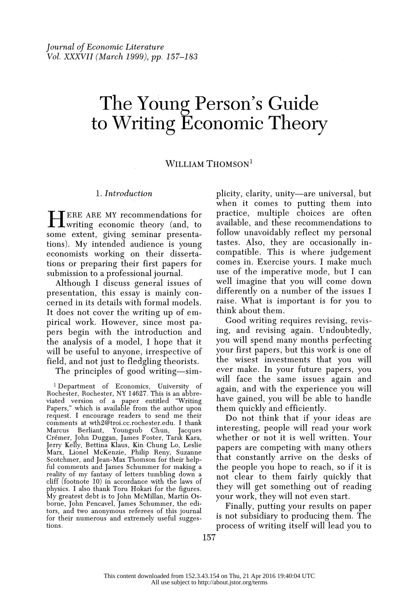# The Young Person's Guide to Writing Economic Theory

### WILLIAM THOMSON<sup>1</sup>

#### 1. Introduction

 HERE ARE MY recommendations for writing economic theory (and, to some extent, giving seminar presenta tions). My intended audience is young economists working on their disserta tions or preparing their first papers for submission to a professional journal.

 Although I discuss general issues of presentation, this essay is mainly con cerned in its details with formal models. It does not cover the writing up of em pirical work. However, since most pa pers begin with the introduction and the analysis of a model, I hope that it will be useful to anyone, irrespective of field, and not just to fledgling theorists.

The principles of good writing-sim-

 1 Department of Economics, University of Rochester, Rochester, NY 14627. This is an abbre viated version of a paper entitled "Writing Papers," which is available from the author upon request. I encourage readers to send me their comments at wth2@troi.cc.rochester.edu. I thank Marcus Berliant, Youngsub Chun, Jacques Crémer, John Duggan, James Foster, Tarık Kara, Jerry Kelly, Bettina Klaus, Kin Chung Lo, Leslie Marx, Lionel McKenzie, Philip Reny, Suzanne Scotchmer, and Jean-Max Thomson for their help ful comments and James Schummer for making a reality of my fantasy of letters tumbling down a cliff (footnote 10) in accordance with the laws of physics. I also thank Toru Hokari for the figures. My greatest debt is to John McMillan, Martin Os borne, John Pencavel, James Schummer, the edi tors, and two anonymous referees of this journal for their numerous and extremely useful sugges tions.

 plicity, clarity, unity-are universal, but when it comes to putting them into practice, multiple choices are often available, and these recommendations to follow unavoidably reflect my personal tastes. Also, they are occasionally in compatible. This is where judgement comes in. Exercise yours. I make much use of the imperative mode, but I can well imagine that you will come down differently on a number of the issues I raise. What is important is for you to think about them.

 Good writing requires revising, revis ing, and revising again. Undoubtedly, you will spend many months perfecting your first papers, but this work is one of the wisest investments that you will ever make. In your future papers, you will face the same issues again and again, and with the experience you will have gained, you will be able to handle them quickly and efficiently.

 Do not think that if your ideas are interesting, people will read your work whether or not it is well written. Your papers are competing with many others that constantly arrive on the desks of the people you hope to reach, so if it is not clear to them fairly quickly that they will get something out of reading your work, they will not even start.

 Finally, putting your results on paper is not subsidiary to producing them. The process of writing itself will lead you to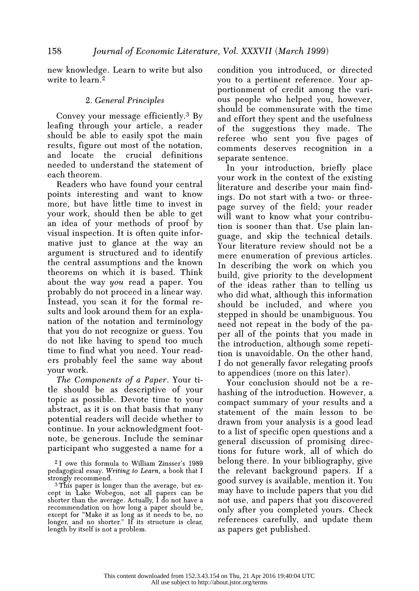new knowledge. Learn to write but also write to learn.2

#### 2. General Principles

 Convey your message efficiently.3 By leafing through your article, a reader should be able to easily spot the main results, figure out most of the notation, and locate the crucial definitions needed to understand the statement of each theorem.

 Readers who have found your central points interesting and want to know more, but have little time to invest in your work, should then be able to get an idea of your methods of proof by visual inspection. It is often quite infor mative just to glance at the way an argument is structured and to identify the central assumptions and the known theorems on which it is based. Think about the way you read a paper. You probably do not proceed in a linear way. Instead, you scan it for the formal re sults and look around them for an expla nation of the notation and terminology that you do not recognize or guess. You do not like having to spend too much time to find what you need. Your read ers probably feel the same way about your work.

 The Components of a Paper. Your ti tle should be as descriptive of your topic as possible. Devote time to your abstract, as it is on that basis that many potential readers will decide whether to continue. In your acknowledgment foot note, be generous. Include the seminar participant who suggested a name for a  condition you introduced, or directed you to a pertinent reference. Your ap portionment of credit among the vari ous people who helped you, however, should be commensurate with the time and effort they spent and the usefulness of the suggestions they made. The referee who sent you five pages of comments deserves recognition in a separate sentence.

 In your introduction, briefly place your work in the context of the existing literature and describe your main find ings. Do not start with a two- or three page survey of the field; your reader will want to know what your contribu tion is sooner than that. Use plain lan guage, and skip the technical details. Your literature review should not be a mere enumeration of previous articles. In describing the work on which you build, give priority to the development of the ideas rather than to telling us who did what, although this information should be included, and where you stepped in should be unambiguous. You need not repeat in the body of the pa per all of the points that you made in the introduction, although some repeti tion is unavoidable. On the other hand, I do not generally favor relegating proofs to appendices (more on this later).

 Your conclusion should not be a re hashing of the introduction. However, a compact summary of your results and a statement of the main lesson to be drawn from your analysis is a good lead to a list of specific open questions and a general discussion of promising direc tions for future work, all of which do belong there. In your bibliography, give the relevant background papers. If a good survey is available, mention it. You may have to include papers that you did not use, and papers that you discovered only after you completed yours. Check references carefully, and update them as papers get published.

 <sup>2</sup> I owe this formula to William Zinsser's 1989 pedagogical essay. Writing to Learn, a book that I strongly recommend.

 <sup>3</sup> This paper is longer than the average, but ex cept in Lake Wobegon, not all papers can be<br>shorter than the average. Actually, I do not have a recommendation on how long a paper should be, except for "Make it as long as it needs to be, no longer, and no shorter." If its structure is clear, length by itself is not a problem.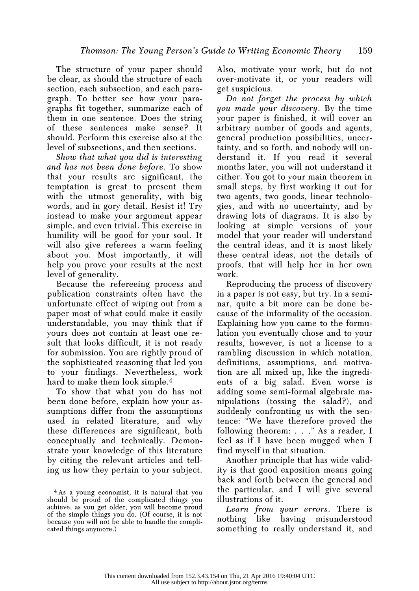The structure of your paper should be clear, as should the structure of each section, each subsection, and each para graph. To better see how your para graphs fit together, summarize each of them in one sentence. Does the string of these sentences make sense? It should. Perform this exercise also at the level of subsections, and then sections.

 Show that what you did is interesting and has not been done before. To show that your results are significant, the temptation is great to present them with the utmost generality, with big words, and in gory detail. Resist it! Try instead to make your argument appear simple, and even trivial. This exercise in humility will be good for your soul. It will also give referees a warm feeling about you. Most importantly, it will help you prove your results at the next level of generality.

 Because the refereeing process and publication constraints often have the unfortunate effect of wiping out from a paper most of what could make it easily understandable, you may think that if yours does not contain at least one re sult that looks difficult, it is not ready for submission. You are rightly proud of the sophisticated reasoning that led you to your findings. Nevertheless, work hard to make them look simple.4

 To show that what you do has not been done before, explain how your as sumptions differ from the assumptions used in related literature, and why these differences are significant, both conceptually and technically. Demon strate your knowledge of this literature by citing the relevant articles and tell ing us how they pertain to your subject.

 Also, motivate your work, but do not over-motivate it, or your readers will get suspicious.

 Do not forget the process by which you made your discovery. By the time your paper is finished, it will cover an arbitrary number of goods and agents, general production possibilities, uncer tainty, and so forth, and nobody will un derstand it. If you read it several months later, you will not understand it either. You got to your main theorem in small steps, by first working it out for two agents, two goods, linear technolo gies, and with no uncertainty, and by drawing lots of diagrams. It is also by looking at simple versions of your model that your reader will understand the central ideas, and it is most likely these central ideas, not the details of proofs, that will help her in her own work.

 Reproducing the process of discovery in a paper is not easy, but try. In a semi nar, quite a bit more can be done be cause of the informality of the occasion. Explaining how you came to the formu lation you eventually chose and to your results, however, is not a license to a rambling discussion in which notation, definitions, assumptions, and motiva tion are all mixed up, like the ingredi ents of a big salad. Even worse is adding some semi-formal algebraic ma nipulations (tossing the salad?), and suddenly confronting us with the sen tence: "We have therefore proved the following theorem: . . ." As a reader, I feel as if I have been mugged when I find myself in that situation.

 Another principle that has wide valid ity is that good exposition means going back and forth between the general and the particular, and I will give several illustrations of it.

 Learn from your errors. There is nothing like having misunderstood something to really understand it, and

 <sup>4</sup>As a young economist, it is natural that you should be proud of the complicated things you achieve; as you get older, you will become proud of the simple things you do. (Of course, it is not because you will not be able to handle the compli cated things anymore.)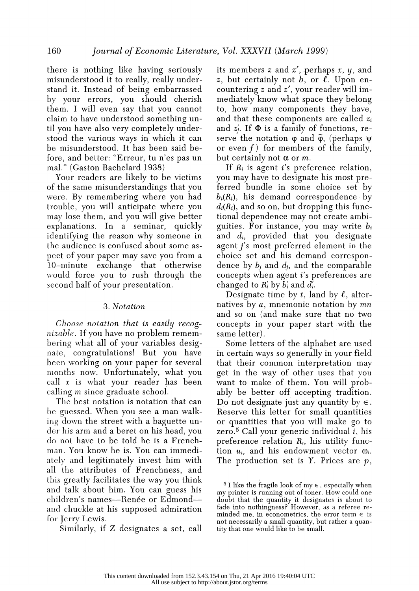there is nothing like having seriously misunderstood it to really, really under stand it. Instead of being embarrassed by your errors, you should cherish them. I will even say that you cannot claim to have understood something un til you have also very completely under stood the various ways in which it can be misunderstood. It has been said be fore, and better: "Erreur, tu n'es pas un mal." (Gaston Bachelard 1938)

 Your readers are likely to be victims of the same misunderstandings that you were. By remembering where you had trouble, you will anticipate where you may lose them, and you will give better explanations. In a seminar, quickly identifying the reason why someone in the audience is confused about some as pect of your paper may save you from a 10-minute exchange that otherwise would force you to rush through the second half of your presentation.

#### 3. Notation

Choose notation that is easily recognizable. If you have no problem remem bering what all of your variables desig nate, congratulations! But you have been working on your paper for several months now. Unfortunately, what you call x is what your reader has been calling  $m$  since graduate school.

 The best notation is notation that can be guessed. When you see a man walk ing down the street with a baguette un der his arm and a beret on his head, you do not lhave to be told he is a French man. You know he is. You can immedi atelv and legitimately invest him with all the attributes of Frenchness, and this greatly facilitates the way you think and talk about him. You can guess his children's names-Renée or Edmond and chuckle at his supposed admiration for Jerry Lewis.

Simnilarly, if Z designates a set, call

its members z and z', perhaps x,  $y$ , and z, but certainly not b, or  $\ell$ . Upon encountering  $z$  and  $z'$ , your reader will im mediately know what space they belong to, how many components they have, and that these components are called  $z_i$ and  $z_i$ . If  $\Phi$  is a family of functions, reserve the notation  $\varphi$  and  $\tilde{\varphi}$ , (perhaps  $\psi$ or even  $f$ ) for members of the family, but certainly not  $\alpha$  or m.

If  $R_i$  is agent *i*'s preference relation, you may have to designate his most pre ferred bundle in some choice set by  $b_i(R_i)$ , his demand correspondence by  $d_i(R_i)$ , and so on, but dropping this func tional dependence may not create ambi guities. For instance, you may write  $b_i$ and  $d_i$ , provided that you designate agent *j*'s most preferred element in the choice set and his demand correspon dence by  $b_i$  and  $d_i$ , and the comparable concepts when agent i's preferences are changed to  $R_i'$  by  $b_i'$  and  $d_i'$ .

Designate time by t, land by  $\ell$ , alternatives by  $a$ , mnemonic notation by  $mn$  and so on (and make sure that no two concepts in your paper start with the same letter).

 Some letters of the alphabet are used in certain ways so generally in your field that their common interpretation may get in the way of other uses that you want to make of them. You will prob ably be better off accepting tradition. Do not designate just any quantity by  $\in$ . Reserve this letter for small quantities or quantities that you will make go to zero.<sup>5</sup> Call your generic individual  $i$ , his preference relation  $R_i$ , his utility function  $u_i$ , and his endowment vector  $\omega_i$ . The production set is  $Y$ . Prices are  $p$ ,

 $5$  I like the fragile look of my  $\epsilon$ , especially when my printer is running out of toner. How could one doubt that the quantity it designates is about to fade into nothingness? However, as a referee re minded me, in econometrics, the error term  $\epsilon$  is not necessarily a small quantity, but rather a quan tity that one would like to be small.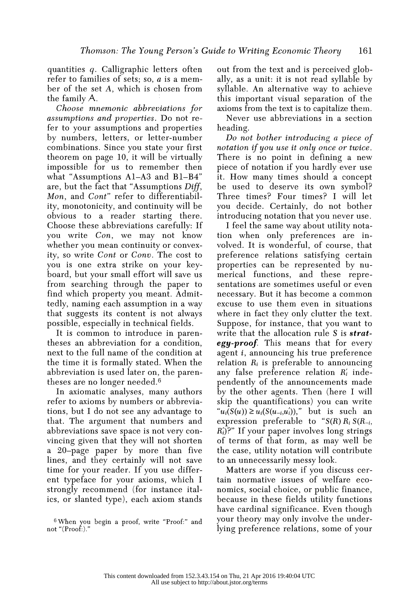quantities q. Calligraphic letters often refer to families of sets; so, a is a mem ber of the set A, which is chosen from the family A.

 Choose mnemonic abbreviations for assumptions and properties. Do not re fer to your assumptions and properties by numbers, letters, or letter-number combinations. Since you state your first theorem on page 10, it will be virtually impossible for us to remember then what "Assumptions A1-A3 and B1-B4" are, but the fact that "Assumptions Diff, Mon, and Cont" refer to differentiabil ity, monotonicity, and continuity will be obvious to a reader starting there. Choose these abbreviations carefully: If you write Con, we may not know whether you mean continuity or convex ity, so write Cont or Conv. The cost to you is one extra strike on your key board, but your small effort will save us from searching through the paper to find which property you meant. Admit tedly, naming each assumption in a way that suggests its content is not always possible, especially in technical fields.

 It is common to introduce in paren theses an abbreviation for a condition, next to the full name of the condition at the time it is formally stated. When the abbreviation is used later on, the paren theses are no longer needed.6

 In axiomatic analyses, many authors refer to axioms by numbers or abbrevia tions, but I do not see any advantage to that. The argument that numbers and abbreviations save space is not very con vincing given that they will not shorten a 20-page paper by more than five lines, and they certainly will not save time for your reader. If you use differ ent typeface for your axioms, which I strongly recommend (for instance ital ics, or slanted type), each axiom stands

 out from the text and is perceived glob ally, as a unit: it is not read syllable by syllable. An alternative way to achieve this important visual separation of the axioms from the text is to capitalize them.

 Never use abbreviations in a section heading.

 Do not bother introducing a piece of notation if you use it only once or twice. There is no point in defining a new piece of notation if you hardly ever use it. How many times should a concept be used to deserve its own symbol? Three times? Four times? I will let you decide. Certainly, do not bother introducing notation that you never use.

 I feel the same way about utility nota tion when only preferences are in volved. It is wonderful, of course, that preference relations satisfying certain properties can be represented by nu merical functions, and these repre sentations are sometimes useful or even necessary. But it has become a common excuse to use them even in situations where in fact they only clutter the text. Suppose, for instance, that you want to write that the allocation rule S is **strat**egy-proof. This means that for every agent i, announcing his true preference relation  $R_i$  is preferable to announcing any false preference relation  $R_i$  inde pendently of the announcements made by the other agents. Then (here I will skip the quantifications) you can write  $u_i(S(u)) \geq u_i(S(u_{-i}, u'_i)),$ " but is such an expression preferable to " $S(R) R_i S(R_{-i},$  $R'_i$ ?" If your paper involves long strings of terms of that form, as may well be the case, utility notation will contribute to an unnecessarily messy look.

 Matters are worse if you discuss cer tain normative issues of welfare eco nomics, social choice, or public finance, because in these fields utility functions have cardinal significance. Even though your theory may only involve the under lying preference relations, some of your

 <sup>6</sup> When you begin a proof, write "Proof:" and not "(Proof:)."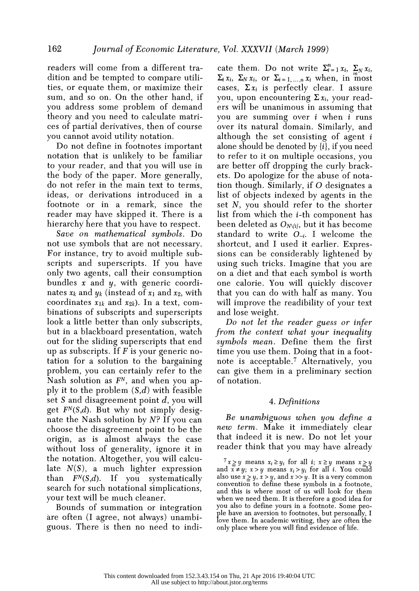readers will come from a different tra dition and be tempted to compare utili ties, or equate them, or maximize their sum, and so on. On the other hand, if you address some problem of demand theory and you need to calculate matri ces of partial derivatives, then of course you cannot avoid utility notation.

 Do not define in footnotes important notation that is unlikely to be familiar to your reader, and that you will use in the body of the paper. More generally, do not refer in the main text to terms, ideas, or derivations introduced in a footnote or in a remark, since the reader may have skipped it. There is a hierarchy here that you have to respect.

 Save on mathematical symbols. Do not use symbols that are not necessary. For instance, try to avoid multiple sub scripts and superscripts. If you have only two agents, call their consumption bundles  $x$  and  $y$ , with generic coordinates  $x_k$  and  $y_k$  (instead of  $x_1$  and  $x_2$ , with coordinates  $x_{1k}$  and  $x_{2k}$ ). In a text, com binations of subscripts and superscripts look a little better than only subscripts, but in a blackboard presentation, watch out for the sliding superscripts that end up as subscripts. If  $F$  is your generic no tation for a solution to the bargaining problem, you can certainly refer to the Nash solution as  $F<sup>N</sup>$ , and when you apply it to the problem  $(S,d)$  with feasible set S and disagreement point  $d$ , you will get  $F<sup>N</sup>(S,d)$ . But why not simply desig nate the Nash solution by N? If you can choose the disagreement point to be the origin, as is almost always the case without loss of generality, ignore it in the notation. Altogether, you will calcu late  $N(S)$ , a much lighter expression than  $F<sup>N</sup>(S,d)$ . If you systematically search for such notational simplications, your text will be much cleaner.

 Bounds of summation or integration are often (I agree, not always) unambi guous. There is then no need to indicate them. Do not write  $\sum_{i=1}^{n} x_i$ ,  $\sum_N x_i$ ,  $\Sigma_i x_i$ ,  $\Sigma_N x_i$ , or  $\Sigma_{i=1,...,n} x_i$  when, in most cases,  $\Sigma x_i$  is perfectly clear. I assure you, upon encountering  $\Sigma x_i$ , your read ers will be unanimous in assuming that you are summing over  $i$  when  $i$  runs over its natural domain. Similarly, and although the set consisting of agent  $i$ alone should be denoted by  $\{i\}$ , if you need to refer to it on multiple occasions, you are better off dropping the curly brack ets. Do apologize for the abuse of nota tion though. Similarly, if  $O$  designates a list of objects indexed by agents in the set N, you should refer to the shorter list from which the i-th component has been deleted as  $O_{N\setminus i},$  but it has become standard to write  $O_{-i}$ . I welcome the shortcut, and I used it earlier. Expres sions can be considerably lightened by using such tricks. Imagine that you are on a diet and that each symbol is worth one calorie. You will quickly discover that you can do with half as many. You will improve the readibility of your text and lose weight.

 Do not let the reader guess or infer from the context what your inequality symbols mean. Define them the first time you use them. Doing that in a foot note is acceptable.7 Alternatively, you can give them in a preliminary section of notation.

# 4. Definitions

 Be unambiguous when you define a new term. Make it immediately clear that indeed it is new. Do not let your reader think that you may have already

 $x \geq y$  means  $x_i \geq y_i$  for all  $i; x \geq y$  means  $x \geq y$ and  $x \neq y;$   $x > y$  means  $x_i > y_i$  for all  $i$ . You could also use  $x \geq y$ ,  $x > y$ , and  $x >> y$ . It is a very comm convention to define these symbols in a footnote, and this is where most of us will look for them when we need them. It is therefore a good idea for you also to define yours in a footnote. Some peo ple have an aversion to footnotes, but personally, I love them. In academic writing, they are often the only place where you will find evidence of life.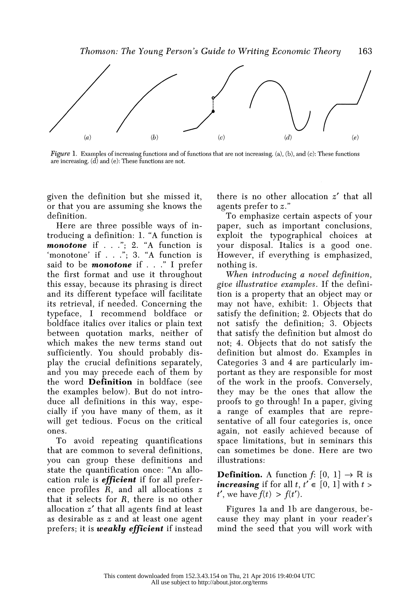

Figure 1. Examples of increasing functions and of functions that are not increasing. (a), (b), and (c): These functions are increasing.  $(d)$  and (e): These functions are not.

 given the definition but she missed it, or that you are assuming she knows the definition.

 Here are three possible ways of in troducing a definition: 1. "A function is **monotone** if  $\ldots$ "; 2. "A function is 'monotone' if . . ."; 3. "A function is said to be *monotone* if  $\ldots$  " I prefer the first format and use it throughout this essay, because its phrasing is direct and its different typeface will facilitate its retrieval, if needed. Concerning the typeface, I recommend boldface or boldface italics over italics or plain text between quotation marks, neither of which makes the new terms stand out sufficiently. You should probably dis play the crucial definitions separately, and you may precede each of them by the word Definition in boldface (see the examples below). But do not intro duce all definitions in this way, espe cially if you have many of them, as it will get tedious. Focus on the critical ones.

 To avoid repeating quantifications that are common to several definitions, you can group these definitions and state the quantification once: "An allo cation rule is *efficient* if for all preference profiles  $\overline{R}$ , and all allocations  $z$  that it selects for R, there is no other allocation z' that all agents find at least as desirable as z and at least one agent prefers; it is **weakly efficient** if instead

 there is no other allocation z' that all agents prefer to z."

 To emphasize certain aspects of your paper, such as important conclusions, exploit the typographical choices at your disposal. Italics is a good one. However, if everything is emphasized, nothing is.

 When introducing a novel definition, give illustrative examples. If the defini tion is a property that an object may or may not have, exhibit: 1. Objects that satisfy the definition; 2. Objects that do not satisfy the definition; 3. Objects that satisfy the definition but almost do not; 4. Objects that do not satisfy the definition but almost do. Examples in Categories 3 and 4 are particularly im portant as they are responsible for most of the work in the proofs. Conversely, they may be the ones that allow the proofs to go through! In a paper, giving a range of examples that are repre sentative of all four categories is, once again, not easily achieved because of space limitations, but in seminars this can sometimes be done. Here are two illustrations:

**Definition.** A function  $f: [0, 1] \rightarrow \mathbb{R}$  is *increasing* if for all  $t, t' \in [0, 1]$  with  $t >$ t', we have  $f(t) > f(t')$ .

 Figures la and lb are dangerous, be cause they may plant in your reader's mind the seed that you will work with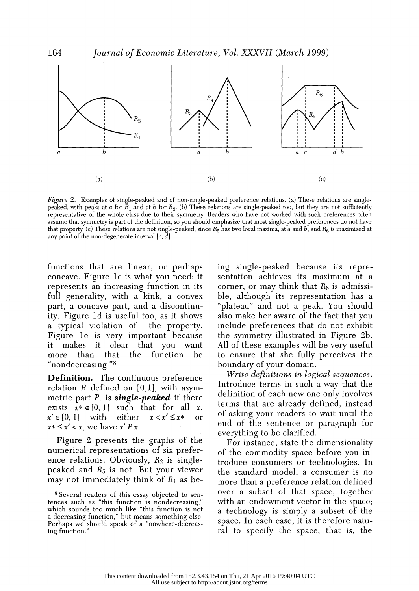

Figure 2. Examples of single-peaked and of non-single-peaked preference relations. (a) These relations are singlepeaked, with peaks at a for  $R_1$  and at b for  $R_2$ . (b) These relations are single-peaked too, but they are not sufficiently representative of the whole class due to their symmetry. Readers who have not worked with such preferences often assume that symmetry is part of the definition, so you should emphasize that most single-peaked preferences do not have that property. (c) These relations are not single-peaked, since  $R_5$  has two local maxima, at a and b, and  $R_6$  is maximized at any point of the non-degenerate interval  $[c, d]$ .

 functions that are linear, or perhaps concave. Figure Ic is what you need: it represents an increasing function in its full generality, with a kink, a convex part, a concave part, and a discontinu ity. Figure Id is useful too, as it shows a typical violation of the property. Figure le is very important because makes it clear that you want more than that the function be "nondecreasing."8

 Definition. The continuous preference relation  $R$  defined on  $[0,1]$ , with asymmetric part  $P$ , is **single-peaked** if there exists  $x^* \in [0, 1]$  such that for all x,  $x' \in [0,1]$  with either  $x < x' \leq x^*$  or  $x^* \leq x' < x$ , we have  $x' P x$ .

 Figure 2 presents the graphs of the numerical representations of six prefer ence relations. Obviously,  $R_2$  is singlepeaked and  $R_5$  is not. But your viewer may not immediately think of  $R_1$  as be ing single-peaked because its repre sentation achieves its maximum at a corner, or may think that  $R_6$  is admissi ble, although its representation has a "plateau" and not a peak. You should also make her aware of the fact that you include preferences that do not exhibit the symmetry illustrated in Figure 2b. All of these examples will be very useful to ensure that she fully perceives the boundary of your domain.

 Write definitions in logical sequences. Introduce terms in such a way that the definition of each new one only involves terms that are already defined, instead of asking your readers to wait until the end of the sentence or paragraph for everything to be clarified.

 For instance, state the dimensionality of the commodity space before you in troduce consumers or technologies. In the standard model, a consumer is no more than a preference relation defined over a subset of that space, together with an endowment vector in the space; a technology is simply a subset of the space. In each case, it is therefore natu ral to specify the space, that is, the

 <sup>8</sup> Several readers of this essay objected to sen tences such as "this function is nondecreasing," which sounds too much like "this function is not a decreasing function," but means something else. Perhaps we should speak of a "nowhere-decreas ing function."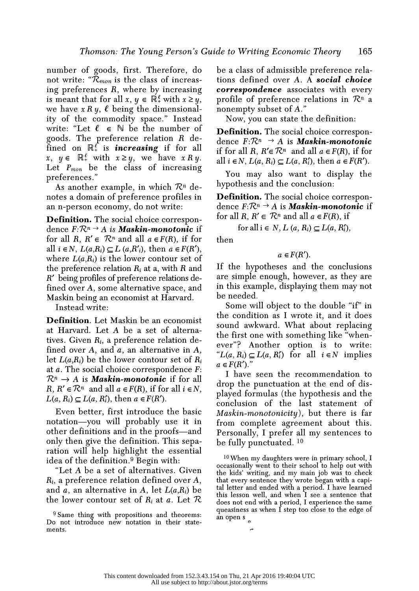number of goods, first. Therefore, do not write: " $\mathcal{R}_{mon}$  is the class of increasing preferences  $R$ , where by increasing is meant that for all  $x, y \in \mathbb{R}^{\ell}$  with  $x \geq y$ , we have  $x R y$ ,  $\ell$  being the dimensional ity of the commodity space." Instead write: "Let  $\ell \in \mathbb{N}$  be the number of goods. The preference relation R de fined on  $\mathbb{R}^{\ell}$  is *increasing* if for all  $x, y \in \mathbb{R}_+^{\ell}$  with  $x \geq y$ , we have  $x R y$ . Let  $P_{mon}$  be the class of increasing preferences."

As another example, in which  $\mathcal{R}^n$  de notes a domain of preference profiles in an n-person economy, do not write:

 Definition. The social choice correspon dence  $F: \mathbb{R}^n \to A$  is **Maskin-monotonic** if for all R,  $R' \in \mathbb{R}^n$  and all  $a \in F(R)$ , if for all  $i \in N$ ,  $L(a, R_i) \subseteq L(a, R'_i)$ , then  $a \in F(R')$ , where  $L(a, R_i)$  is the lower contour set of the preference relation  $R_i$  at a, with R and R' being profiles of preference relations de fined over A, some alternative space, and Maskin being an economist at Harvard.

Instead write:

 Definition. Let Maskin be an economist at Harvard. Let A be a set of alterna tives. Given  $R_i$ , a preference relation defined over A, and  $a$ , an alternative in A, let  $L(a, R_i)$  be the lower contour set of  $R_i$ at  $a$ . The social choice correspondence  $F$ :  $\mathcal{R}^n \to A$  is **Maskin-monotonic** if for all  $R, R' \in \mathbb{R}^n$  and all  $a \in F(R)$ , if for all  $i \in N$ ,  $L(a, R_i) \subseteq L(a, R_i')$ , then  $a \in F(R')$ .

 Even better, first introduce the basic notation-you will probably use it in other definitions and in the proofs-and only then give the definition. This sepa ration will help highlight the essential idea of the definition.9 Begin with:

 "Let A be a set of alternatives. Given  $R_i$ , a preference relation defined over A, and a, an alternative in A, let  $L(a, R_i)$  be the lower contour set of  $R_i$  at a. Let  $\mathcal R$   be a class of admissible preference rela tions defined over  $A$ .  $\overline{A}$  social choice correspondence associates with every profile of preference relations in  $\mathcal{R}^n$  a nonempty subset of A."

Now, you can state the definition:

 Definition. The social choice correspon dence  $F: \mathbb{R}^n \to A$  is **Maskin-monotonic** if for all R,  $R' \in \mathbb{R}^n$  and all  $a \in F(R)$ , if for all  $i \in N$ ,  $L(a, R_i) \subseteq L(a, R'_i)$ , then  $a \in F(R')$ .

 You may also want to display the hypothesis and the conclusion:

 Definition. The social choice correspon dence  $F: \mathbb{R}^n \to A$  is **Maskin-monotonic** if for all  $R, R' \in \mathcal{R}^n$  and all  $a \in F(R)$ , if

for all  $i \in N$ ,  $L(a, R_i) \subseteq L(a, R'_i)$ ,

then

$$
a\in F(R').
$$

 If the hypotheses and the conclusions are simple enough, however, as they are in this example, displaying them may not be needed.

 Some will object to the double "if' in the condition as I wrote it, and it does sound awkward. What about replacing the first one with something like "when ever"? Another option is to write: " $L(a, R_i) \subseteq L(a, R_i')$  for all  $i \in N$  implies  $a \in F(R')$ ."

 I have seen the recommendation to drop the punctuation at the end of dis played formulas (the hypothesis and the conclusion of the last statement of Maskin-monotonicity), but there is far from complete agreement about this. Personally, I prefer all my sentences to be fully punctuated. <sup>10</sup>

 10 When my daughters were in primary school, I occasionally went to their school to help out with the kids' writing, and my main job was to check that every sentence they wrote began with a capi tal letter and ended with a period. I have learned this lesson well, and when I see a sentence that does not end with a period, I experience the same queasiness as when I step too close to the edge of an open s

<sup>&</sup>lt;sup>9</sup> Same thing with propositions and theorems: Do not introduce new notation in their state ments.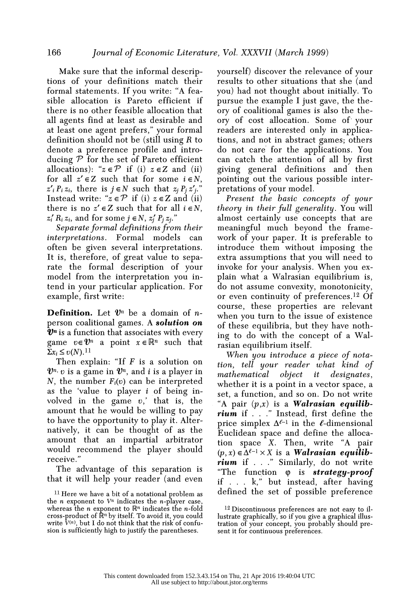Make sure that the informal descrip tions of your definitions match their formal statements. If you write: "A fea sible allocation is Pareto efficient if there is no other feasible allocation that all agents find at least as desirable and at least one agent prefers," your formal definition should not be (still using R to denote a preference profile and intro ducing  $P$  for the set of Pareto efficient allocations): " $z \in \mathcal{P}$  if (i)  $z \in Z$  and (ii) for all  $z' \in Z$  such that for some  $i \in N$ ,  $z'_{i} P_{i} z_{i}$ , there is  $j \in N$  such that  $z_{i} P_{i} z'_{i}$ . Instead write: " $z \in \mathcal{P}$  if (i)  $z \in Z$  and (ii) there is no  $z' \in Z$  such that for all  $i \in N$ ,  $z_i$ ,  $R_i z_i$ , and for some  $j \in N$ ,  $z_i$ ,  $P_i z_i$ ."

 Separate formal definitions from their interpretations. Formal models can often be given several interpretations. It is, therefore, of great value to sepa rate the formal description of your model from the interpretation you in tend in your particular application. For example, first write:

**Definition.** Let  $\mathbf{V}^n$  be a domain of *n*person coalitional games. A solution on  $\pmb{\mathcal{V}^n}$  is a function that associates with every game  $v \in \mathcal{V}^n$  a point  $x \in \mathbb{R}^n$  such that  $\sum x_i \leq v(N)$ .<sup>11</sup>

Then explain: "If  $F$  is a solution on  $v_n$ , v is a game in  $v_n$ , and *i* is a player in N, the number  $F_i(v)$  can be interpreted as the 'value to player  $i$  of being involved in the game  $v$ , that is, the amount that he would be willing to pay to have the opportunity to play it. Alter natively, it can be thought of as the amount that an impartial arbitrator would recommend the player should receive."

 The advantage of this separation is that it will help your reader (and even  yourself) discover the relevance of your results to other situations that she (and you) had not thought about initially. To pursue the example I just gave, the the ory of coalitional games is also the the ory of cost allocation. Some of your readers are interested only in applica tions, and not in abstract games; others do not care for the applications. You can catch the attention of all by first giving general definitions and then pointing out the various possible inter pretations of your model.

 Present the basic concepts of your theory in their full generality. You will almost certainly use concepts that are meaningful much beyond the frame work of your paper. It is preferable to introduce them without imposing the extra assumptions that you will need to invoke for your analysis. When you ex plain what a Walrasian equilibrium is, do not assume convexity, monotonicity, or even continuity of preferences.<sup>12</sup> Of course, these properties are relevant when you turn to the issue of existence of these equilibria, but they have noth ing to do with the concept of a Wal rasian equilibrium itself.

 When you introduce a piece of nota tion, tell your reader what kind of mathematical object it designates, whether it is a point in a vector space, a set, a function, and so on. Do not write "A pair  $(p,x)$  is a **Walrasian equilib**rium if . . ." Instead, first define the price simplex  $\Delta^{\ell-1}$  in the  $\ell$ -dimensional Euclidean space and define the alloca tion space X. Then, write "A pair  $(p, x) \in \Delta^{\ell-1} \times X$  is a Walrasian equilibrium if . . ." Similarly, do not write "The function  $\varphi$  is strategy-proof if . . . k," but instead, after having  $^{11}$  Here we have a bit of a notational problem as defined the set of possible preference

the *n* exponent to  $V^n$  indicates the *n*-player case, whereas the  $n$  exponent to  $\mathbb{R}^n$  indicates the  $n\text{-fold}$ cross-product of  $\mathbb{R}^n$  by itself. To avoid it, you could write  $V^{\left(n\right)},$  but I do not think that the risk of confu sion is sufficiently high to justify the parentheses.

 <sup>12</sup> Discontinuous preferences are not easy to il lustrate graphically, so if you give a graphical illus tration of your concept, you probably should pre sent it for continuous preferences.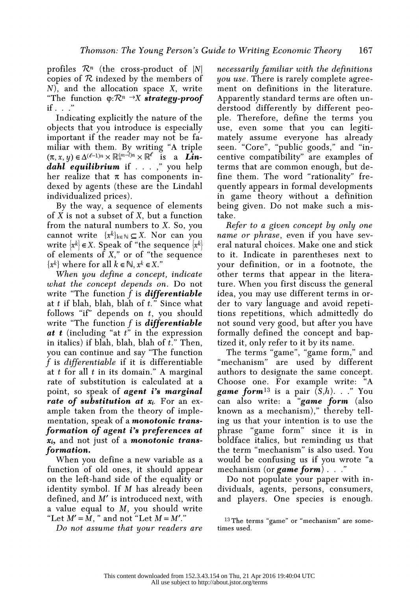profiles  $\mathcal{R}^n$  (the cross-product of |N| copies of  $R$  indexed by the members of  $N$ ), and the allocation space X, write "The function  $\varphi: \mathcal{R}^n \to X$  strategy-proof if . . ."

 Indicating explicitly the nature of the objects that you introduce is especially important if the reader may not be fa miliar with them. By writing "A triple  $(\pi, x, y) \in \Delta^{(\ell-1)n} \times \mathbb{R}^{\ell m-l/n} \times \mathbb{R}^{\ell}$  is a Lindahl equilibrium if . . . ," you help her realize that  $\pi$  has components in dexed by agents (these are the Lindahl individualized prices).

 By the way, a sequence of elements of  $\overline{X}$  is not a subset of  $X$ , but a function from the natural numbers to X. So, you cannot write  $\{x^k\}_{k \in \mathbb{N}} \subseteq X$ . Nor can you write  $|x^k| \in X$ . Speak of "the sequence  $|x^k|$ of elements of  $X$ ," or of "the sequence"  $\{x^k\}$  where for all  $k \in \mathbb{N}$ ,  $x^k \in X$ ."

 When you define a concept, indicate what the concept depends on. Do not write "The function  $f$  is differentiable at  $t$  if blah, blah, blah of  $t$ ." Since what follows "if" depends on  $t$ , you should write "The function  $f$  is differentiable at t (including "at  $t$ " in the expression in italics) if blah, blah, blah of  $\bar{t}$ ." Then, you can continue and say "The function f is differentiable if it is differentiable at t for all t in its domain." A marginal rate of substitution is calculated at a point, so speak of **agent i's marginal** rate of substitution at  $x_i$ . For an ex ample taken from the theory of imple mentation, speak of a *monotonic trans* formation of agent i's preferences at  $x_i$ , and not just of a *monotonic* transformation.

 When you define a new variable as a function of old ones, it should appear on the left-hand side of the equality or identity symbol. If  $M$  has already been defined, and M' is introduced next, with a value equal to  $M$ , you should write "Let  $M' = M$ , " and not "Let  $M = M'$ ."

Do not assume that your readers are

 necessarily familiar with the definitions you use. There is rarely complete agree ment on definitions in the literature. Apparently standard terms are often un derstood differently by different peo ple. Therefore, define the terms you use, even some that you can legiti mately assume everyone has already seen. "Core", "public goods," and "in centive compatibility" are examples of terms that are common enough, but de fine them. The word "rationality" fre quently appears in formal developments in game theory without a definition being given. Do not make such a mis take.

 Refer to a given concept by only one name or phrase, even if you have sev eral natural choices. Make one and stick to it. Indicate in parentheses next to your definition, or in a footnote, the other terms that appear in the litera ture. When you first discuss the general idea, you may use different terms in or der to vary language and avoid repeti tions repetitions, which admittedly do not sound very good, but after you have formally defined the concept and bap tized it, only refer to it by its name.

 The terms "game", "game form," and "mechanism" are used by different authors to designate the same concept. Choose one. For example write: "A **game form**<sup>13</sup> is a pair  $(S,h)$ . . ." You can also write: a "game form (also known as a mechanism)," thereby tell ing us that your intention is to use the phrase "game form" since it is in boldface italics, but reminding us that the term "mechanism" is also used. You would be confusing us if you wrote "a mechanism (or **game form**).  $\ldots$ "

 Do not populate your paper with in dividuals, agents, persons, consumers, and players. One species is enough.

 <sup>13</sup> The terms "game" or "mechanism" are some times used.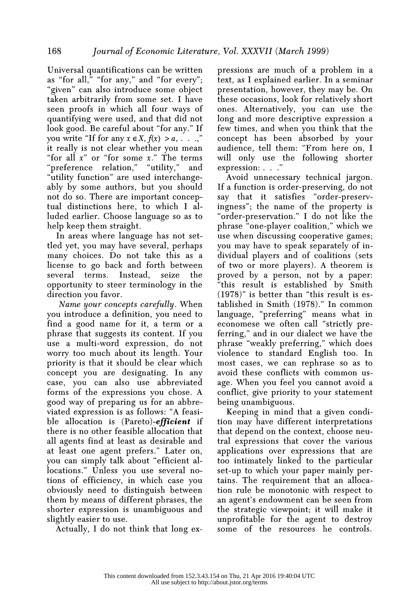Universal quantifications can be written as "for all," "for any," and "for every"; "given" can also introduce some object taken arbitrarily from some set. I have seen proofs in which all four ways of quantifying were used, and that did not look good. Be careful about "for any." If you write "If for any  $x \in X$ ,  $f(x) > a$ , ...," it really is not clear whether you mean "for all  $x$ " or "for some  $x$ ." The terms "preference relation," "utility," and "utility function" are used interchange ably by some authors, but you should not do so. There are important concep tual distinctions here, to which I al luded earlier. Choose language so as to help keep them straight.

 In areas where language has not set tled yet, you may have several, perhaps many choices. Do not take this as a license to go back and forth between several terms. Instead, seize the opportunity to steer terminology in the direction you favor.

 Name your concepts carefully. When you introduce a definition, you need to find a good name for it, a term or a phrase that suggests its content. If you use a multi-word expression, do not worry too much about its length. Your priority is that it should be clear which concept you are designating. In any case, you can also use abbreviated forms of the expressions you chose. A good way of preparing us for an abbre viated expression is as follows: "A feasi ble allocation is (Pareto)-efficient if there is no other feasible allocation that all agents find at least as desirable and at least one agent prefers." Later on, you can simply talk about "efficient al locations." Unless you use several no tions of efficiency, in which case you obviously need to distinguish between them by means of different phrases, the shorter expression is unambiguous and slightly easier to use.

Actually, I do not think that long ex-

 pressions are much of a problem in a text, as I explained earlier. In a seminar presentation, however, they may be. On these occasions, look for relatively short ones. Alternatively, you can use the long and more descriptive expression a few times, and when you think that the concept has been absorbed by your audience, tell them: "From here on, I will only use the following shorter expression: . . . "

 Avoid unnecessary technical jargon. If a function is order-preserving, do not say that it satisfies "order-preserv ingness"; the name of the property is "order-preservation." I do not like the phrase "one-player coalition," which we use when discussing cooperative games; you may have to speak separately of in dividual players and of coalitions (sets of two or more players). A theorem is proved by a person, not by a paper: "this result is established by Smith (1978)" is better than "this result is es tablished in Smith (1978)." In common language, "preferring" means what in economese we often call "strictly pre ferring," and in our dialect we have the phrase "weakly preferring," which does violence to standard English too. In most cases, we can rephrase so as to avoid these conflicts with common us age. When you feel you cannot avoid a conflict, give priority to your statement being unambiguous.

 Keeping in mind that a given condi tion may have different interpretations that depend on the context, choose neu tral expressions that cover the various applications over expressions that are too intimately linked to the particular set-up to which your paper mainly per tains. The requirement that an alloca tion rule be monotonic with respect to an agent's endowment can be seen from the strategic viewpoint; it will make it unprofitable for the agent to destroy some of the resources he controls.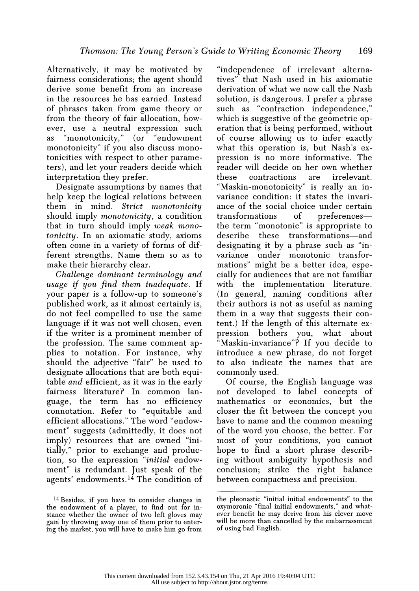Alternatively, it may be motivated by fairness considerations; the agent should derive some benefit from an increase in the resources he has earned. Instead of phrases taken from game theory or from the theory of fair allocation, how ever, use a neutral expression such as "monotonicity," (or "endowment monotonicity" if you also discuss mono tonicities with respect to other parame ters), and let your readers decide which interpretation they prefer.

 Designate assumptions by names that help keep the logical relations between them in mind. Strict monotonicity should imply monotonicity, a condition that in turn should imply weak mono tonicity. In an axiomatic study, axioms often come in a variety of forms of dif ferent strengths. Name them so as to make their hierarchy clear.

 Challenge dominant terminology and usage if you find them inadequate. If your paper is a follow-up to someone's published work, as it almost certainly is, do not feel compelled to use the same language if it was not well chosen, even if the writer is a prominent member of the profession. The same comment ap plies to notation. For instance, why should the adjective "fair" be used to designate allocations that are both equi table *and* efficient, as it was in the early fairness literature? In common lan guage, the term has no efficiency connotation. Refer to "equitable and efficient allocations." The word "endow ment" suggests (admittedly, it does not imply) resources that are owned "ini tially," prior to exchange and produc tion, so the expression "initial endow ment" is redundant. Just speak of the agents' endowments.<sup>14</sup> The condition of

 "independence of irrelevant alterna tives" that Nash used in his axiomatic derivation of what we now call the Nash solution, is dangerous. I prefer a phrase such as "contraction independence," which is suggestive of the geometric op eration that is being performed, without of course allowing us to infer exactly what this operation is, but Nash's ex pression is no more informative. The reader will decide on her own whether these contractions are irrelevant. "Maskin-monotonicity" is really an in variance condition: it states the invari ance of the social choice under certain transformations of preferences the term "monotonic" is appropriate to describe these transformations-and designating it by a phrase such as "in variance under monotonic transfor mations" might be a better idea, espe cially for audiences that are not familiar with the implementation literature. (In general, naming conditions after their authors is not as useful as naming them in a way that suggests their con tent.) If the length of this alternate ex pression bothers you, what about "Maskin-invariance"? If you decide to introduce a new phrase, do not forget to also indicate the names that are commonly used.

 Of course, the English language was not developed to label concepts of mathematics or economics, but the closer the fit between the concept you have to name and the common meaning of the word you choose, the better. For most of your conditions, you cannot hope to find a short phrase describ ing without ambiguity hypothesis and conclusion; strike the right balance between compactness and precision.

 <sup>14</sup> Besides, if you have to consider changes in the endowment of a player, to find out for in stance whether the owner of two left gloves may gain by throwing away one of them prior to enter ing the market, you will have to make him go from

the pleonastic "initial initial endowments" to the oxymoronic "final initial endowments," and what ever benefit he may derive from his clever move will be more than cancelled by the embarrassment of using bad English.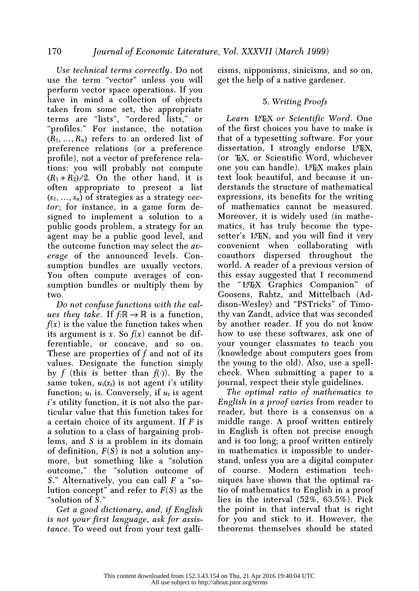Use technical terms correctly. Do not use the term "vector" unless you will perform vector space operations. If you have in mind a collection of objects taken from some set, the appropriate terms are "lists", "ordered lists," or "profiles." For instance, the notation  $(R_1, ..., R_n)$  refers to an ordered list of preference relations (or a preference profile), not a vector of preference rela tions: you will probably not compute  $(R_1 + R_2)/2$ . On the other hand, it is often appropriate to present a list  $(s_1, ..., s_n)$  of strategies as a strategy vec tor; for instance, in a game form de signed to implement a solution to a public goods problem, a strategy for an agent may be a public good level, and the outcome function may select the av erage of the announced levels. Con sumption bundles are usually vectors. You often compute averages of con sumption bundles or multiply them by two.

Do not confuse functions with the values they take. If  $f:\mathbb{R} \to \mathbb{R}$  is a function,  $f(x)$  is the value the function takes when its argument is x. So  $f(x)$  cannot be dif ferentiable, or concave, and so on. These are properties of  $f$  and not of its values. Designate the function simply by f (this is better than  $f(\cdot)$ ). By the same token,  $u_i(x_i)$  is not agent *i*'s utility function;  $u_i$  is. Conversely, if  $u_i$  is agent i's utility function, it is not also the par ticular value that this function takes for a certain choice of its argument. If  $F$  is a solution to a class of bargaining prob lems, and S is a problem in its domain of definition,  $F(S)$  is not a solution any more, but something like a "solution outcome," the "solution outcome of S." Alternatively, you can call F a "so lution concept" and refer to  $F(S)$  as the "solution of S."

 Get a good dictionary, and, if English is not your first language, ask for assis tance. To weed out from your text galli cisms, nipponisms, sinicisms, and so on, get the help of a native gardener.

# 5. Writing Proofs

Learn L<sup>N</sup>EX or Scientific Word. One of the first choices you have to make is that of a typesetting software. For your dissertation, I strongly endorse LATEX, (or TEX, or Scientific Word, whichever one you can handle). LATEX makes plain text look beautiful, and because it un derstands the structure of mathematical expressions, its benefits for the writing of mathematics cannot be measured. Moreover, it is widely used (in mathe matics, it has truly become the type setter's LATN, and you will find it very convenient when collaborating with coauthors dispersed throughout the world. A reader of a previous version of this essay suggested that I recommend the " LATEX Graphics Companion" of Goosens, Rahtz, and Mittelbach (Ad dison-Wesley) and "PSTricks" of Timo thy van Zandt, advice that was seconded by another reader. If you do not know how to use these softwares, ask one of your younger classmates to teach you (knowledge about computers goes from the young to the old). Also, use a spell check. When submitting a paper to a journal, respect their style guidelines.

 The optimal ratio of mathematics to English in a proof varies from reader to reader, but there is a consensus on a middle range. A proof written entirely in English is often not precise enough and is too long; a proof written entirely in mathematics is impossible to under stand, unless you are a digital computer of course. Modern estimation tech niques have shown that the optimal ra tio of mathematics to English in a proof lies in the interval (52%, 63.5%). Pick the point in that interval that is right for you and stick to it. However, the theorems themselves should be stated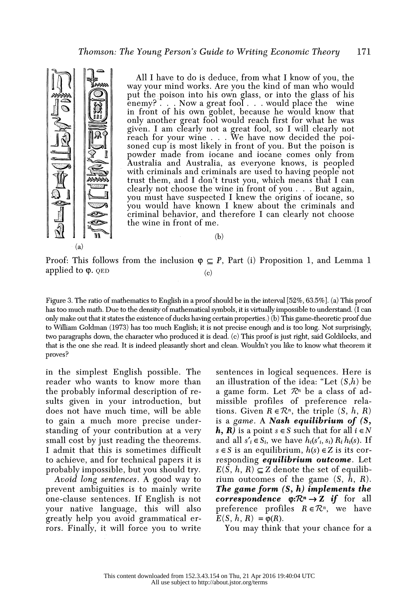

 All I have to do is deduce, from what I know of you, the way your mind works. Are you the kind of man who would put the poison into his own glass, or into the glass of hi enemy?. . . Now a great fool . . . would place the wine in front of his own goblet, because he would know that only another great fool would reach first for what he was given. I am clearly not a great fool, so I will clearly not reach for your wine . . . We have now decided the poisoned cup is most likely in front of you. But the poison is powder made from iocane and iocane comes only from Australia and Australia, as everyone knows, is peopled with criminals and criminals are used to having people not trust them, and I don't trust you, which means that I can  $\begin{bmatrix} \mathbb{T} \\ \mathbb{T} \end{bmatrix}$  clearly not choose the wine in front of you . . . But again, you must have suspected I knew the origins of iocane, s you would have known I knew about the criminals and criminal behavior, and therefore I can clearly not choose the wine in front of me.

(b)

Proof: This follows from the inclusion  $\varphi \subseteq P$ , Part (i) Proposition 1, and Lemma 1 applied to  $\varphi$ . QED (c)

 Figure 3. The ratio of mathematics to English in a proof should be in the interval [52%, 63.5%]. (a) This proof has too much math. Due to the density of mathematical symbols, it is virtually impossible to understand. (I can only make out that it states the existence of ducks having certain properties.) (b) This game-theoretic proof due to William Goldman (1973) has too much English; it is not precise enough and is too long. Not surprisingly, two paragraphs down, the character who produced it is dead. (c) This proof is just right, said Goldilocks, and that is the one she read. It is indeed pleasantly short and clean. Wouldn't you like to know what theorem it proves?

 in the simplest English possible. The reader who wants to know more than the probably informal description of re sults given in your introduction, but does not have much time, will be able to gain a much more precise under standing of your contribution at a very small cost by just reading the theorems. I admit that this is sometimes difficult to achieve, and for technical papers it is probably impossible, but you should try.

 Avoid long sentences. A good way to prevent ambiguities is to mainly write one-clause sentences. If English is not your native language, this will also greatly help you avoid grammatical er rors. Finally, it will force you to write

 sentences in logical sequences. Here is an illustration of the idea: "Let  $(S,h)$  be a game form. Let  $\mathcal{R}^n$  be a class of ad missible profiles of preference rela tions. Given  $R \in \mathcal{R}^n$ , the triple  $(S, h, R)$ is a game. A **Nash equilibrium of**  $(S,$ **h**, **R**) is a point  $s \in S$  such that for all  $i \in N$ and all  $s'_i \in S_i$ , we have  $h_i(s'_i, s_i) R_i h_i(s)$ . If  $s \in S$  is an equilibrium,  $h(s) \in Z$  is its corresponding *equilibrium* outcome. Let  $E(S, h, R) \subseteq Z$  denote the set of equilibrium outcomes of the game  $(S, h, R)$ . The game form (S, h) implements the correspondence  $\varphi: \mathbb{R}^n \to \mathbb{Z}$  if for all preference profiles  $R \in \mathbb{R}^n$ , we have  $E(S, h, R) = \varphi(R)$ .

You may think that your chance for a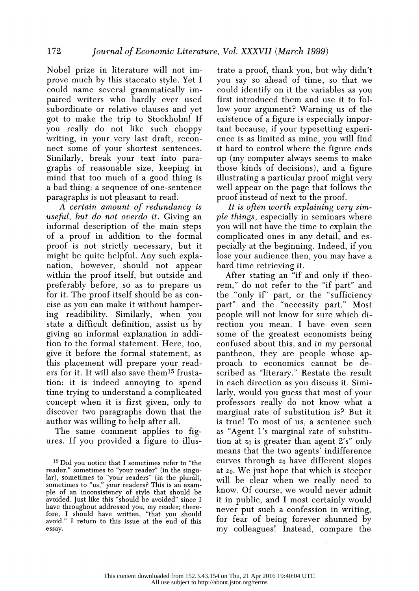Nobel prize in literature will not im prove much by this staccato style. Yet I could name several grammatically im paired writers who hardly ever used subordinate or relative clauses and yet got to make the trip to Stockholm! If you really do not like such choppy writing, in your very last draft, recon nect some of your shortest sentences. Similarly, break your text into para graphs of reasonable size, keeping in mind that too much of a good thing is a bad thing: a sequence of one-sentence paragraphs is not pleasant to read.

 A certain amount of redundancy is useful, but do not overdo it. Giving an informal description of the main steps of a proof in addition to the formal proof is not strictly necessary, but it might be quite helpful. Any such expla nation, however, should not appear within the proof itself, but outside and preferably before, so as to prepare us for it. The proof itself should be as con cise as you can make it without hamper ing readibility. Similarly, when you state a difficult definition, assist us by giving an informal explanation in addi tion to the formal statement. Here, too, give it before the formal statement, as this placement will prepare your read ers for it. It will also save them'5 frusta tion: it is indeed annoying to spend time trying to understand a complicated concept when it is first given, only to discover two paragraphs down that the author was willing to help after all.

 The same comment applies to fig ures. If you provided a figure to illus trate a proof, thank you, but why didn't you say so ahead of time, so that we could identify on it the variables as you first introduced them and use it to fol low your argument? Warning us of the existence of a figure is especially impor tant because, if your typesetting experi ence is as limited as mine, you will find it hard to control where the figure ends up (my computer always seems to make those kinds of decisions), and a figure illustrating a particular proof might very well appear on the page that follows the proof instead of next to the proof.

 It is often worth explaining very sim ple things, especially in seminars where you will not have the time to explain the complicated ones in any detail, and es pecially at the beginning. Indeed, if you lose your audience then, you may have a hard time retrieving it.

 After stating an "if and only if theo rem," do not refer to the "if part" and the "only if' part, or the "sufficiency part" and the "necessity part." Most people will not know for sure which di rection you mean. I have even seen some of the greatest economists being confused about this, and in my personal pantheon, they are people whose ap proach to economics cannot be de scribed as "literary." Restate the result in each direction as you discuss it. Simi larly, would you guess that most of your professors really do not know what a marginal rate of substitution is? But it is true! To most of us, a sentence such as "Agent l's marginal rate of substitu tion at  $z_0$  is greater than agent 2's" only means that the two agents' indifference curves through  $z_0$  have different slopes at zo. We just hope that which is steeper will be clear when we really need to know. Of course, we would never admit it in public, and I most certainly would never put such a confession in writing, for fear of being forever shunned by my colleagues! Instead, compare the

 <sup>15</sup> Did you notice that I sometimes refer to "the reader," sometimes to "your reader" (in the singu lar), sometimes to "your readers" (in the plural), sometimes to "us," your readers? This is an exam ple of an inconsistency of style that should be avoided. Just like this "should be avoided" since I have throughout addressed you, my reader; there fore, I should have written, "that you should avoid." I return to this issue at the end of this essay.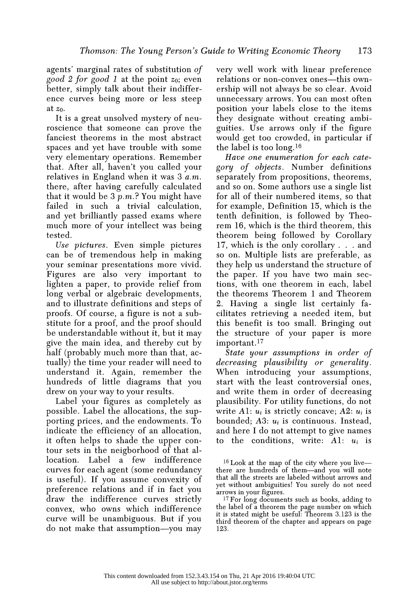agents' marginal rates of substitution of good 2 for good 1 at the point  $z_0$ ; even better, simply talk about their indiffer ence curves being more or less steep at zo.

 It is a great unsolved mystery of neu roscience that someone can prove the fanciest theorems in the most abstract spaces and yet have trouble with some very elementary operations. Remember that. After all, haven't you called your relatives in England when it was  $3 a.m.$  there, after having carefully calculated that it would be 3  $p.m.^2$  You might have failed in such a trivial calculation, and yet brilliantly passed exams where much more of your intellect was being tested.

 Use pictures. Even simple pictures can be of tremendous help in making your seminar presentations more vivid. Figures are also very important to lighten a paper, to provide relief from long verbal or algebraic developments, and to illustrate definitions and steps of proofs. Of course, a figure is not a sub stitute for a proof, and the proof should be understandable without it, but it may give the main idea, and thereby cut by half (probably much more than that, ac tually) the time your reader will need to understand it. Again, remember the hundreds of little diagrams that you drew on your way to your results.

 Label your figures as completely as possible. Label the allocations, the sup porting prices, and the endowments. To indicate the efficiency of an allocation, it often helps to shade the upper con tour sets in the neigborhood of that al location. Label a few indifference curves for each agent (some redundancy is useful). If you assume convexity of preference relations and if in fact you draw the indifference curves strictly convex, who owns which indifference curve will be unambiguous. But if you do not make that assumption-you may  very well work with linear preference relations or non-convex ones-this own ership will not always be so clear. Avoid unnecessary arrows. You can most often position your labels close to the items they designate without creating ambi guities. Use arrows only if the figure would get too crowded, in particular if the label is too long.16

 Have one enumeration for each cate gory of objects. Number definitions separately from propositions, theorems, and so on. Some authors use a single list for all of their numbered items, so that for example, Definition 15, which is the tenth definition, is followed by Theo rem 16, which is the third theorem, this theorem being followed by Corollary 17, which is the only corollary . . . and so on. Multiple lists are preferable, as they help us understand the structure of the paper. If you have two main sec tions, with one theorem in each, label the theorems Theorem 1 and Theorem 2. Having a single list certainly fa cilitates retrieving a needed item, but this benefit is too small. Bringing out the structure of your paper is more important. 17

 State your assumptions in order of decreasing plausibility or generality. When introducing your assumptions, start with the least controversial ones, and write them in order of decreasing plausibility. For utility functions, do not write A1:  $u_i$  is strictly concave; A2:  $u_i$  is bounded; A3:  $u_i$  is continuous. Instead, and here I do not attempt to give names to the conditions, write:  $A1: u_i$  is

 <sup>16</sup> Look at the map of the city where you live there are hundreds of them-and you will note that all the streets are labeled without arrows and yet without ambiguities! You surely do not need arrows in your figures.

<sup>&</sup>lt;sup>17</sup> For long documents such as books, adding to the label of a theorem the page number on which it is stated might be useful: Theorem 3.123 is the third theorem of the chapter and appears on page 123.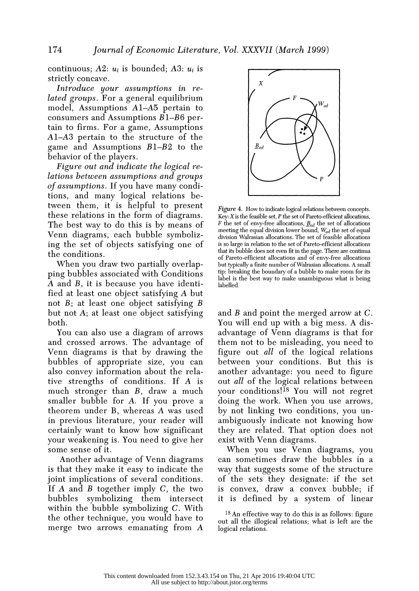continuous; A2:  $u_i$  is bounded; A3:  $u_i$  is strictly concave.

 Introduce your assumptions in re lated groups. For a general equilibrium model, Assumptions A1-A5 pertain to consumers and Assumptions  $B1-B6$  per tain to firms. For a game, Assumptions A1-A3 pertain to the structure of the game and Assumptions B1-B2 to the behavior of the players.

 Figure out and indicate the logical re lations between assumptions and groups of assumptions. If you have many condi tions, and many logical relations be tween them, it is helpful to present these relations in the form of diagrams. The best way to do this is by means of Venn diagrams, each bubble symboliz ing the set of objects satisfying one of the conditions.

 When you draw two partially overlap ping bubbles associated with Conditions  $\overline{A}$  and  $\overline{B}$ , it is because you have identi fied at least one object satisfying A but not  $B$ ; at least one object satisfying  $B$  but not A; at least one object satisfying both.

 You can also use a diagram of arrows and crossed arrows. The advantage of Venn diagrams is that by drawing the bubbles of appropriate size, you can also convey information about the rela tive strengths of conditions. If A is much stronger than B, draw a much smaller bubble for A. If you prove a theorem under B, whereas A was used in previous literature, your reader will certainly want to know how significant your weakening is. You need to give her some sense of it.

 Another advantage of Venn diagrams is that they make it easy to indicate the joint implications of several conditions. If  $A$  and  $B$  together imply  $C$ , the two bubbles symbolizing them intersect within the bubble symbolizing C. With the other technique, you would have to merge two arrows emanating from A



Figure 4. How to indicate logical relations between concepts. Key:  $X$  is the feasible set,  $P$  the set of Pareto-efficient allocations, F the set of envy-free allocations,  $B_{ed}$  the set of allocations meeting the equal division lower bound,  $W_{ed}$  the set of equal division Walrasian allocations. The set of feasible allocations is so large in relation to the set of Pareto-efficient allocations that its bubble does not even fit in the page. There are continua of Pareto-efficient allocations and of envy-free allocations but typically a finite number of Walrasian allocations. A small tip: breaking the boundary of a bubble to make room for its label is the best way to make unambiguous what is being labelled.

 and B and point the merged arrow at C. You will end up with a big mess. A dis advantage of Venn diagrams is that for them not to be misleading, you need to figure out all of the logical relations between your conditions. But this is another advantage: you need to figure out all of the logical relations between your conditions!'8 You will not regret doing the work. When you use arrows, by not linking two conditions, you un ambiguously indicate not knowing how they are related. That option does not exist with Venn diagrams.

 When you use Venn diagrams, you can sometimes draw the bubbles in a way that suggests some of the structure of the sets' they designate: if the set is convex, draw a convex bubble; if it is defined by a system of linear

 <sup>18</sup> An effective way to do this is as follows: figure out all the illogical relations; what is left are the logical relations.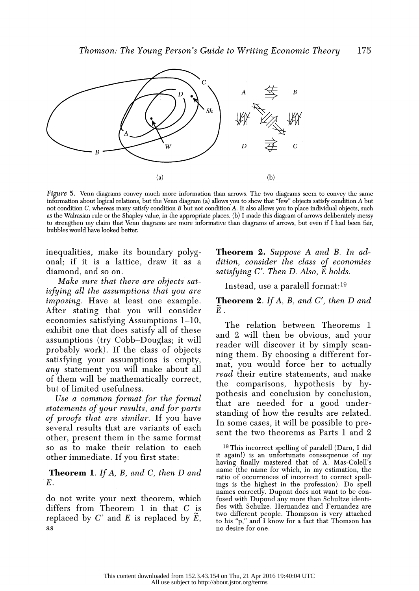

Figure 5. Venn diagrams convey much more information than arrows. The two diagrams seem to convey the same information about logical relations, but the Venn diagram (a) allows you to show that "few" objects satisfy condition A but not condition C, whereas many satisfy condition B but not condition A. It also allows you to place individual objects, such as the Walrasian rule or the Shapley value, in the appropriate places. (b) I made this diagram of arrows deliberately messy to strengthen my claim that Venn diagrams are more informative than diagrams of arrows, but even if I had been fair, bubbles would have looked better.

 inequalities, make its boundary polyg onal; if it is a lattice, draw it as a diamond, and so on.

 Make sure that there are objects sat isfying all the assumptions that you are imposing. Have at least one example. After stating that you will consider economies satisfying Assumptions 1-10, exhibit one that does satisfy all of these assumptions (try Cobb-Douglas; it will probably work). If the class of objects satisfying your assumptions is empty, any statement you will make about all of them will be mathematically correct, but of limited usefulness.

 Use a common format for the formal statements of your results, and for parts of proofs that are similar. If you have several results that are variants of each other, present them in the same format so as to make their relation to each other immediate. If you first state:

 Theorem 1. If A, B, and C, then D and E.

 do not write your next theorem, which differs from Theorem 1 in that C is replaced by C' and E is replaced by  $\tilde{E}$ , as

 Theorem 2. Suppose A and B. In ad dition, consider the class of economies satisfying C'. Then D. Also, E holds.

Instead, use a paralell format:19

## **Theorem 2.** If  $A$ ,  $B$ , and  $C'$ , then  $D$  and  $\tilde{F}$ .

 The relation between Theorems 1 and 2 will then be obvious, and your reader will discover it by simply scan ning them. By choosing a different for mat, you would force her to actually read their entire statements, and make the comparisons, hypothesis by hy pothesis and conclusion by conclusion, that are needed for a good under standing of how the results are related. In some cases, it will be possible to pre sent the two theorems as Parts 1 and 2

 19 This incorrect spelling of paralell (Darn, I did it again!) is an unfortunate consequence of my having finally mastered that of A. Mas-Colell's name (the name for which, in my estimation, the ratio of occurrences of incorrect to correct spell ings is the highest in the profession). Do spell names correctly. Dupont does not want to be con fused with Dupond any more than Schultze identi fies with Schulze. Hernandez and Fernandez are two different people. Thompson is very attached to his "p," and I know for a fact that Thomson has no desire for one.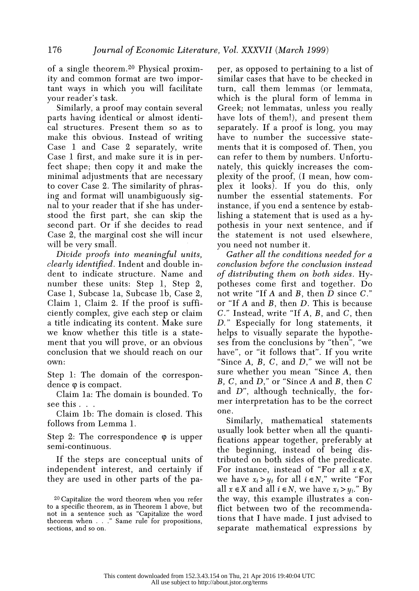of a single theorem.20 Physical proxim ity and common format are two impor tant ways in which you will facilitate your reader's task.

 Similarly, a proof may contain several parts having identical or almost identi cal structures. Present them so as to make this obvious. Instead of writing Case 1 and Case 2 separately, write Case 1 first, and make sure it is in per fect shape; then copy it and make the minimal adjustments that are necessary to cover Case 2. The similarity of phras ing and format will unambiguously sig nal to your reader that if she has under stood the first part, she can skip the second part. Or if she decides to read Case 2, the marginal cost she will incur will be very small.

 Divide proofs into meaningful units, clearly identified. Indent and double in dent to indicate structure. Name and number these units: Step 1, Step 2, Case 1, Subcase la, Subcase lb, Case 2, Claim 1, Claim 2. If the proof is suffi ciently complex, give each step or claim a title indicating its content. Make sure we know whether this title is a state ment that you will prove, or an obvious conclusion that we should reach on our own:

 Step 1: The domain of the correspon dence  $\varphi$  is compact.

 Claim la: The domain is bounded. To see this . . .

 Claim lb: The domain is closed. This follows from Lemma 1.

Step 2: The correspondence  $\varphi$  is upper semi-continuous.

 If the steps are conceptual units of independent interest, and certainly if they are used in other parts of the pa-

 per, as opposed to pertaining to a list of similar cases that have to be checked in turn, call them lemmas (or lemmata, which is the plural form of lemma in Greek; not lemmatas, unless you really have lots of them!), and present them separately. If a proof is long, you may have to number the successive state ments that it is composed of. Then, you can refer to them by numbers. Unfortu nately, this quickly increases the com plexity of the proof, (I mean, how com plex it looks). If you do this, only number the essential statements. For instance, if you end a sentence by estab lishing a statement that is used as a hy pothesis in your next sentence, and if the statement is not used elsewhere, you need not number it.

 Gather all the conditions needed for a conclusion before the conclusion instead of distributing them on both sides. Hy potheses come first and together. Do not write "If A and B, then D since C." or "If A and B, then D. This is because C." Instead, write "If A, B, and C, then D." Especially for long statements, it helps to visually separate the hypothe ses from the conclusions by "then", "we have", or "it follows that". If you write "Since A, B, C, and D," we will not be sure whether you mean "Since A, then B, C, and D," or "Since A and B, then C and D", although technically, the for mer interpretation has to be the correct one.

 Similarly, mathematical statements usually look better when all the quanti fications appear together, preferably at the beginning, instead of being dis tributed on both sides of the predicate. For instance, instead of "For all  $x \in X$ , we have  $x_i > y_i$  for all  $i \in N$ ," write "For all  $x \in X$  and all  $i \in N$ , we have  $x_i > y_i$ ." By the way, this example illustrates a con flict between two of the recommenda tions that I have made. I just advised to separate mathematical expressions by

 <sup>20</sup>Capitalize the word theorem when you refer to a specific theorem, as in Theorem 1 above, but not in a sentence such as "Capitalize the word theorem when . . ." Same rule for propositions, sections, and so on.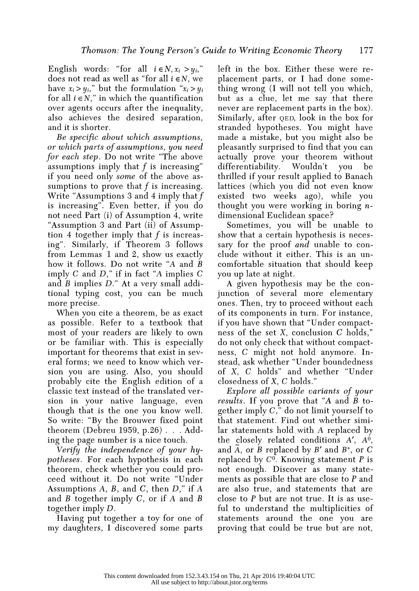English words: "for all  $i \in N$ ,  $x_i > y_i$ ," does not read as well as "for all  $i \in N$ , we have  $x_i > y_i$ ," but the formulation " $x_i > y_i$ for all  $i \in N$ ," in which the quantification over agents occurs after the inequality, also achieves the desired separation, and it is shorter.

 Be specific about which assumptions, or which parts of assumptions, you need for each step. Do not write "The above assumptions imply that  $f$  is increasing" if you need only some of the above as sumptions to prove that  $f$  is increasing. Write "Assumptions 3 and 4 imply that  $f$  is increasing". Even better, if you do not need Part (i) of Assumption 4, write "Assumption 3 and Part (ii) of Assump tion 4 together imply that  $f$  is increas ing". Similarly, if Theorem 3 follows from Lemmas 1 and 2, show us exactly how it follows. Do not write "A and B imply  $C$  and  $D$ ," if in fact "A implies  $C$ and  $\overline{B}$  implies  $D$ ." At a very small addi tional typing cost, you can be much more precise.

 When you cite a theorem, be as exact as possible. Refer to a textbook that most of your readers are likely to own or be familiar with. This is especially important for theorems that exist in sev eral forms; we need to know which ver sion you are using. Also, you should probably cite the English edition of a classic text instead of the translated ver sion in your native language, even though that is the one you know well. So write: "By the Brouwer fixed point theorem (Debreu 1959, p.26) . . . Add ing the page number is a nice touch.

 Verify the independence of your hy potheses. For each hypothesis in each theorem, check whether you could pro ceed without it. Do not write "Under Assumptions  $A$ ,  $B$ , and  $C$ , then  $D$ ," if  $A$ and B together imply  $C$ , or if A and B together imply D.

 Having put together a toy for one of my daughters, I discovered some parts

 left in the box. Either these were re placement parts, or I had done some thing wrong (I will not tell you which, but as a clue, let me say that there never are replacement parts in the box). Similarly, after QED, look in the box for stranded hypotheses. You might have made a mistake, but you might also be pleasantly surprised to find that you can actually prove your theorem without differentiability. Wouldn't you be thrilled if your result applied to Banach lattices (which you did not even know existed two weeks ago), while you thought you were working in boring  $n$ dimensional Euclidean space?

 Sometimes, you will be unable to show that a certain hypothesis is neces sary for the proof *and* unable to con clude without it either. This is an un comfortable situation that should keep you up late at night.

 A given hypothesis may be the con junction of several more elementary ones. Then, try to proceed without each of its components in turn. For instance, if you have shown that "Under compact ness of the set X, conclusion  $C$  holds," do not only check that without compact ness, C might not hold anymore. In stead, ask whether "Under boundedness of X, C holds" and whether "Under closedness of X, C holds."

 Explore all possible variants of your results. If you prove that "A and B to gether imply C," do not limit yourself to that statement. Find out whether simi lar statements hold with A replaced by the closely related conditions  $A'$ ,  $A^0$ , and A, or B replaced by  $B'$  and  $B^*$ , or C replaced by  $C^0$ . Knowing statement P is not enough. Discover as many state ments as possible that are close to P and are also true, and statements that are close to P but are not true. It is as use ful to understand the multiplicities of statements around the one you are proving that could be true but are not,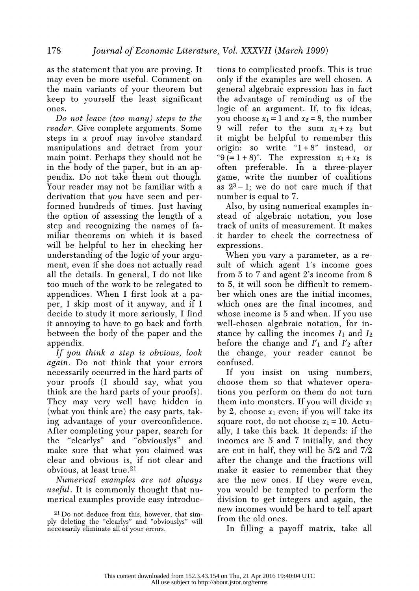as the statement that you are proving. It may even be more useful. Comment on the main variants of your theorem but keep to yourself the least significant ones.

 Do not leave (too many) steps to the reader. Give complete arguments. Some steps in a proof may involve standard manipulations and detract from your main point. Perhaps they should not be in the body of the paper, but in an ap pendix. Do not take them out though. Your reader may not be familiar with a derivation that you have seen and per formed hundreds of times. Just having the option of assessing the length of a step and recognizing the names of fa miliar theorems on which it is based will be helpful to her in checking her understanding of the logic of your argu ment, even if she does not actually read all the details. In general, I do not like too much of the work to be relegated to appendices. When I first look at a pa per, I skip most of it anyway, and if I decide to study it more seriously, I find it annoying to have to go back and forth between the body of the paper and the appendix.

 If you think a step is obvious, look again. Do not think that your errors necessarily occurred in the hard parts of your proofs (I should say, what you think are the hard parts of your proofs). They may very well have hidden in (what you think are) the easy parts, tak ing advantage of your overconfidence. After completing your paper, search for the "clearlys" and "obviouslys" and make sure that what you claimed was clear and obvious is, if not clear and obvious, at least true.21

 Numerical examples are not always useful. It is commonly thought that nu merical examples provide easy introduc tions to complicated proofs. This is true only if the examples are well chosen. A general algebraic expression has in fact the advantage of reminding us of the logic of an argument. If, to fix ideas, you choose  $x_1 = 1$  and  $x_2 = 8$ , the number 9 will refer to the sum  $x_1 + x_2$  but it might be helpful to remember this origin: so write  $1+8$ " instead, " $9 (= 1 + 8)$ ". The expression  $x_1 + x_2$  is often preferable. In a three-player game, write the number of coalitions as  $2^3 - 1$ ; we do not care much if that number is equal to 7.

 Also, by using numerical examples in stead of algebraic notation, you lose track of units of measurement. It makes it harder to check the correctness of expressions.

 When you vary a parameter, as a re sult of which agent l's income goes from 5 to 7 and agent 2's income from 8 to 5, it will soon be difficult to remem ber which ones are the initial incomes, which ones are the final incomes, and whose income is 5 and when. If you use well-chosen algebraic notation, for in stance by calling the incomes  $I_1$  and  $I_2$ before the change and  $I'_1$  and  $I'_2$  after the change, your reader cannot be confused.

 If you insist on using numbers, choose them so that whatever opera tions you perform on them do not turn them into monsters. If you will divide  $x_1$ by 2, choose  $x_1$  even; if you will take its square root, do not choose  $x_1 = 10$ . Actu ally, I take this back. It depends: if the incomes are 5 and 7 initially, and they are cut in half, they will be 5/2 and 7/2 after the change and the fractions will make it easier to remember that they are the new ones. If they were even, you would be tempted to perform the division to get integers and again, the new incomes would be hard to tell apart from the old ones.

In filling a payoff matrix, take all

 <sup>21</sup> Do not deduce from this, however, that sim ply deleting the "clearlys" and "obviouslys" will necessarily eliminate all of your errors.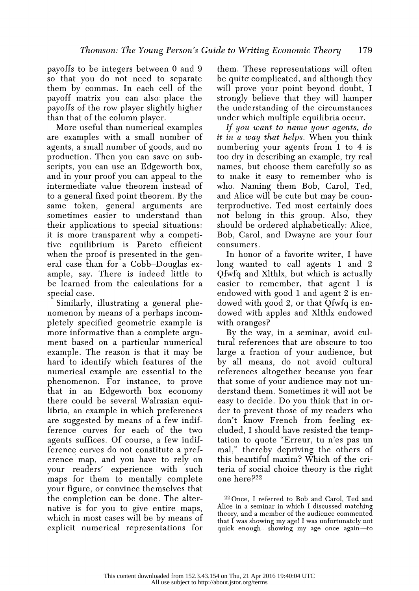payoffs to be integers between 0 and 9 so that you do not need to separate them by commas. In each cell of the payoff matrix you can also place the payoffs of the row player slightly higher than that of the column player.

 More useful than numerical examples are examples with a small number of agents, a small number of goods, and no production. Then you can save on sub scripts, you can use an Edgeworth box, and in your proof you can appeal to the intermediate value theorem instead of to a general fixed point theorem. By the same token, general arguments are sometimes easier to understand than their applications to special situations: it is more transparent why a competi tive equilibrium is Pareto efficient when the proof is presented in the gen eral case than for a Cobb-Douglas ex ample, say. There is indeed little to be learned from the calculations for a special case.

 Similarly, illustrating a general phe nomenon by means of a perhaps incom pletely specified geometric example is more informative than a complete argu ment based on a particular numerical example. The reason is that it may be hard to identify which features of the numerical example are essential to the phenomenon. For instance, to prove that in an Edgeworth box economy there could be several Walrasian equi libria, an example in which preferences are suggested by means of a few indif ference curves for each of the two agents suffices. Of course, a few indif ference curves do not constitute a pref erence map, and you have to rely on your readers' experience with such maps for them to mentally complete your figure, or convince themselves that the completion can be done. The alter native is for you to give entire maps, which in most cases will be by means of explicit numerical representations for

 them. These representations will often be quite complicated, and although they will prove your point beyond doubt, I strongly believe that they will hamper the understanding of the circumstances under which multiple equilibria occur.

 If you want to name your agents, do it in a way that helps. When you think numbering your agents from 1 to 4 is too dry in describing an example, try real names, but choose them carefully so as to make it easy to remember who is who. Naming them Bob, Carol, Ted, and Alice will be cute but may be coun terproductive. Ted most certainly does not belong in this group. Also, they should be ordered alphabetically: Alice, Bob, Carol, and Dwayne are your four consumers.

 In honor of a favorite writer, I have long wanted to call agents 1 and 2 Qfwfq and Xlthlx, but which is actually easier to remember, that agent 1 is endowed with good 1 and agent 2 is en dowed with good 2, or that Qfwfq is en dowed with apples and Xlthlx endowed with oranges?

 By the way, in a seminar, avoid cul tural references that are obscure to too large a fraction of your audience, but by all means, do not avoid cultural references altogether because you fear that some of your audience may not un derstand them. Sometimes it will not be easy to decide. Do you think that in or der to prevent those of my readers who don't know French from feeling ex cluded, I should have resisted the temp tation to quote "Erreur, tu n'es pas un mal," thereby depriving the others of this beautiful maxim? Which of the cri teria of social choice theory is the right one here?22

 22 Once, I referred to Bob and Carol, Ted and Alice in a seminar in which I discussed matching theory, and a member of the audience commented that I was showing my age! I was unfortunately not quick enough-showing my age once again-to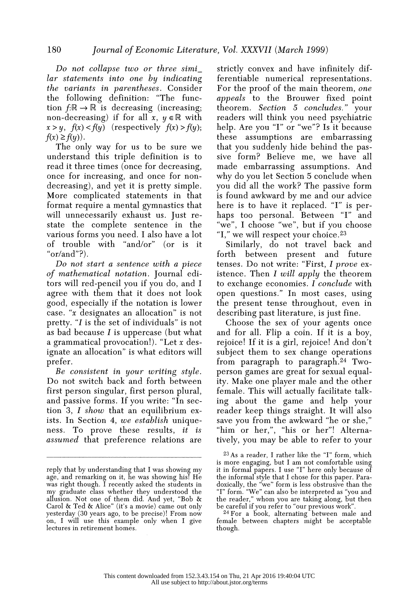Do not collapse two or three simi\_ lar statements into one by indicating the variants in parentheses. Consider the following definition: "The func tion  $f:\mathbb{R} \to \mathbb{R}$  is decreasing (increasing; non-decreasing) if for all  $x, y \in \mathbb{R}$  with  $x > y$ ,  $f(x) < f(y)$  (respectively  $f(x) > f(y)$ ;  $f(x) \geq f(y)$ .

 The only way for us to be sure we understand this triple definition is to read it three times (once for decreasing, once for increasing, and once for non decreasing), and yet it is pretty simple. More complicated statements in that format require a mental gymnastics that will unnecessarily exhaust us. Just re state the complete sentence in the various forms you need. I also have a lot of trouble with "and/or" (or is it " $or/and$ "?).

 Do not start a sentence with a piece of mathematical notation. Journal edi tors will red-pencil you if you do, and I agree with them that it does not look good, especially if the notation is lower case. "x designates an allocation" is not pretty. "I is the set of individuals" is not as bad because  $I$  is uppercase (but what a grammatical provocation!). "Let x des ignate an allocation" is what editors will prefer.

 Be consistent in your writing style. Do not switch back and forth between first person singular, first person plural, and passive forms. If you write: "In sec tion 3, I show that an equilibrium ex ists. In Section 4, we establish unique ness. To prove these results,  $it$  is assumed that preference relations are  strictly convex and have infinitely dif ferentiable numerical representations. For the proof of the main theorem, one appeals to the Brouwer fixed point theorem. Section 5 concludes." your readers will think you need psychiatric help. Are you "I" or "we"? Is it because these assumptions are embarrassing that you suddenly hide behind the pas sive form? Believe me, we have all made embarrassing assumptions. And why do you let Section 5 conclude when you did all the work? The passive form is found awkward by me and our advice here is to have it replaced. "I" is per haps too personal. Between "I" and "we", I choose "we", but if you choose "I," we will respect your choice.<sup>23</sup>

 Similarly, do not travel back and forth between present and future tenses. Do not write: "First, I prove ex istence. Then I will apply the theorem to exchange economies. I conclude with open questions." In most cases, using the present tense throughout, even in describing past literature, is just fine.

 Choose the sex of your agents once and for all. Flip a coin. If it is a boy, rejoice! If it is a girl, rejoice! And don't subject them to sex change operations from paragraph to paragraph.24 Two person games are great for sexual equal ity. Make one player male and the other female. This will actually facilitate talk ing about the game and help your reader keep things straight. It will also save you from the awkward "he or she," "him or her,", "his or her"! Alternatively, you may be able to refer to your

reply that by understanding that I was showing my age, and remarking on it, he was showing his! He was right though. I recently asked the students in my graduate class whether they understood the allusion. Not one of them did. And yet, "Bob & Carol & Ted & Alice" (it's a movie) came out only yesterday (30 years ago, to be precise)! From now on, I will use this example only when I give lectures in retirement homes.

 <sup>23</sup> As a reader, I rather like the "I" form, which is more engaging, but I am not comfortable using it in formaf papers. I use "I" here only because of the informal style that I chose for this paper. Para doxically, the "we" form is less obstrusive than the "I" form. "We" can also be interpreted as "you and the reader," whom you are taking along, but then be careful if you refer to "our previous work".

<sup>24</sup> For a book, alternating between male and female between chapters might be acceptable though.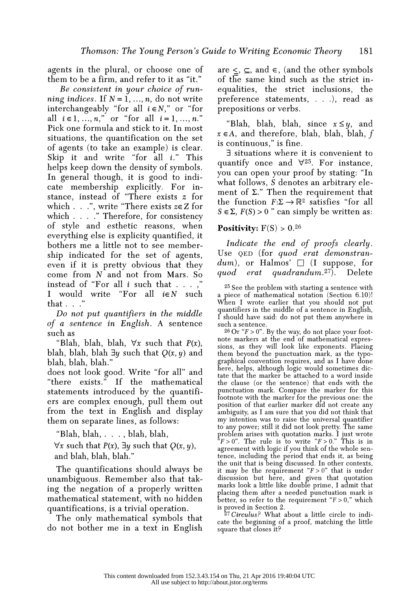agents in the plural, or choose one of them to be a firm, and refer to it as "it."

 Be consistent in your choice of run ning indices. If  $N = 1, ..., n$ , do not write interchangeably "for all  $i \in N$ ," or "for all  $i \in 1, ..., n,$ " or "for all  $i = 1, ..., n$ ." Pick one formula and stick to it. In most situations, the quantification on the set of agents (to take an example) is clear. Skip it and write "for all  $i$ ." This helps keep down the density of symbols. In general though, it is good to indi cate membership explicitly. For in stance, instead of "There exists z for which . . .", write "There exists  $z \in Z$  for which . . . ." Therefore, for consistency of style and esthetic reasons, when everything else is explicity quantified, it bothers me a little not to see member ship indicated for the set of agents, even if it is pretty obvious that they come from N and not from Mars. So instead of "For all  $i$  such that  $\dots$ , I would write "For all  $i \in N$  such that . . ."

 Do not put quantifiers in the middle of a sentence in English. A sentence such as

"Blah, blah, blah,  $\forall x$  such that  $P(x)$ , blah, blah, blah  $\exists y$  such that  $Q(x, y)$  and blah, blah, blah."

 does not look good. Write "for all" and "there exists." If the mathematical statements introduced by the quantifi ers are complex enough, pull them out from the text in English and display them on separate lines, as follows:

"Blah, blah, . . . , blah, blah,

 $\forall x$  such that  $P(x)$ ,  $\exists y$  such that  $Q(x, y)$ , and blah, blah, blah."

 The quantifications should always be unambiguous. Remember also that tak ing the negation of a properly written mathematical statement, with no hidden quantifications, is a trivial operation.

 The only mathematical symbols that do not bother me in a text in English are  $\leq$ ,  $\subseteq$ , and  $\in$ , (and the other symbols of the same kind such as the strict in equalities, the strict inclusions, the preference statements, . .), read as prepositions or verbs.

"Blah, blah, blah, since  $x \leq y$ , and  $x \in A$ , and therefore, blah, blah, blah, f is continuous," is fine.

 3 situations where it is convenient to quantify once and  $\forall^{25}$ . For instance, you can open your proof by stating: "In what follows, S denotes an arbitrary ele ment of  $\Sigma$ ." Then the requirement that the function  $F:\Sigma \to \mathbb{R}^2$  satisfies "for all  $S \in \Sigma$ ,  $F(S) > 0$  " can simply be written as:

# Positivity:  $F(S) > 0.26$

 Indicate the end of proofs clearly. Use QED (for quod erat demonstran  $dum$ , or Halmos'  $\Box$  (I suppose, for quod erat quadrandum.<sup>27</sup>). Delete

 25 See the problem with starting a sentence with a piece of mathematical notation (Section 6.10)! When I wrote earlier that you should not put quantifiers in the middle of a sentence in English, I should have said: do not put them anywhere in such a sentence.

 $26$  Or " $F > 0$ ". By the way, do not place your foot note markers at the end of mathematical expres sions, as they will look like exponents. Placing them beyond the punctuation mark, as the typographical convention requires, and as I have done here, helps, although logic would sometimes dic tate that the marker be attached to a word inside the clause (or the sentence) that ends with the punctuation mark. Compare the marker for this footnote with the marker for the previous one: the position of that earlier marker did not create any ambiguity, as I am sure that you did not think that my intention was to raise the universal quantifier to any power; still it did not look pretty. The same problem arises with quotation marks. I just wrote  $\lq F > 0$ ". The rule is to write  $\lq F > 0$ ." This is in agreement with logic if you think of the whole sen tence, including the period that ends it, as being the unit that is being discussed. In other contexts, it may be the requirement " $F>0$ " that is under discussion but here, and given that quotation marks look a little like double prime, I admit that placing them after a needed punctuation mark is better, so refer to the requirement  $\mathbf{r} > 0, \mathbf{r}$  whi is proved in Section 2.

27 Circulus? What about a little circle to indi cate the beginning of a proof, matching the little square that closes it?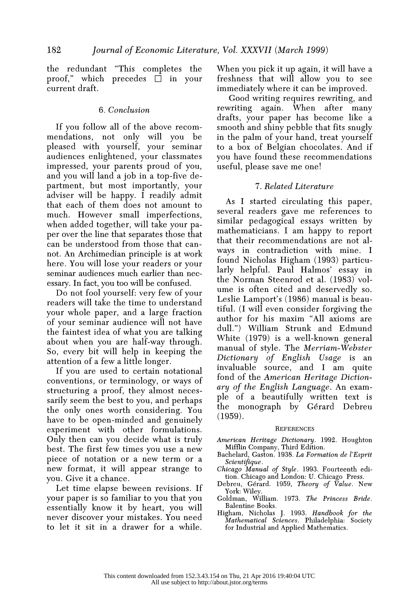the redundant "This completes the proof," which precedes  $\Box$  in your current draft.

### 6. Conclusion

 If you follow all of the above recom mendations, not only will you be pleased with yourself, your seminar audiences enlightened, your classmates impressed, your parents proud of you, and you will land a job in a top-five de partment, but most importantly, your adviser will be happy. I readily admit that each of them does not amount to much. However small imperfections, when added together, will take your pa per over the line that separates those that can be understood from those that can not. An Archimedian principle is at work here. You will lose your readers or your seminar audiences much earlier than nec essary. In fact, you too will be confused.

 Do not fool yourself: very few of your readers will take the time to understand your whole paper, and a large fraction of your seminar audience will not have the faintest idea of what you are talking about when you are half-way through. So, every bit will help in keeping the attention of a few a little longer.

 If you are used to certain notational conventions, or terminology, or ways of structuring a proof, they almost neces sarily seem the best to you, and perhaps the only ones worth considering. You have to be open-minded and genuinely experiment with other formulations. Only then can you decide what is truly best. The first few times you use a new piece of notation or a new term or a new format, it will appear strange to you. Give it a chance.

 Let time elapse beween revisions. If your paper is so familiar to you that you essentially know it by heart, you will never discover your mistakes. You need to let it sit in a drawer for a while.

 When you pick it up again, it will have a freshness that will allow you to see immediately where it can be improved.

 Good writing requires rewriting, and rewriting again. When after many drafts, your paper has become like a smooth and shiny pebble that fits snugly in the palm of your hand, treat yourself to a box of Belgian chocolates. And if you have found these recommendations useful, please save me one!

# 7. Related Literature

 As I started circulating this paper, several readers gave me references to similar pedagogical essays written by mathematicians. I am happy to report that their recommendations are not al ways in contradiction with mine. I found Nicholas Higham (1993) particu larly helpful. Paul Halmos' essay in the Norman Steenrod et al. (1983) vol ume is often cited and deservedly so. Leslie Lamport's (1986) manual is beau tiful. (I will even consider forgiving the author for his maxim "All axioms are dull.") William Strunk and Edmund White (1979) is a well-known general manual of style. The Merriam-Webster Dictionary of English Usage is an invaluable source, and I am quite fond of the American Heritage Diction ary of the English Language. An exam ple of a beautifully written text is the monograph by Gerard Debreu (1959).

#### **REFERENCES**

- American Heritage Dictionary. 1992. Houghton Mifflin Company, Third Edition.
- Bachelard, Gaston. 1938. La Formation de l'Esprit Scientifique.
- Chicago Manual of Style. 1993. Fourteenth edition. Chicago and London: U. Chicago Press.
- Debreu, Gérard. 1959, Theory of Value. New York: Wiley.
- Goldman, William. 1973. The Princess Bride. Balentine Books.
- Higham, Nicholas J. 1993. Handbook for the Mathematical Sciences. Philadelphia: Society for Industrial and Applied Mathematics.